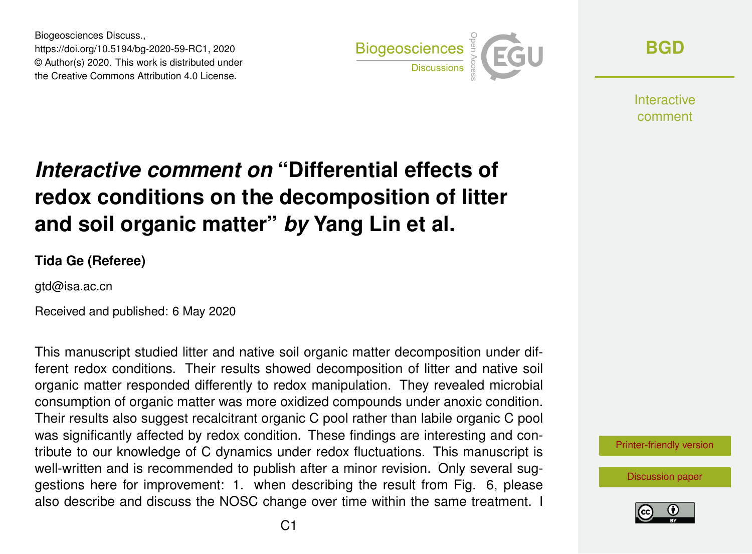Biogeosciences Discuss., https://doi.org/10.5194/bg-2020-59-RC1, 2020 © Author(s) 2020. This work is distributed under the Creative Commons Attribution 4.0 License.



**[BGD](https://www.biogeosciences-discuss.net/)**

**Interactive** comment

## *Interactive comment on* **"Differential effects of redox conditions on the decomposition of litter and soil organic matter"** *by* **Yang Lin et al.**

**Tida Ge (Referee)**

gtd@isa.ac.cn

Received and published: 6 May 2020

This manuscript studied litter and native soil organic matter decomposition under different redox conditions. Their results showed decomposition of litter and native soil organic matter responded differently to redox manipulation. They revealed microbial consumption of organic matter was more oxidized compounds under anoxic condition. Their results also suggest recalcitrant organic C pool rather than labile organic C pool was significantly affected by redox condition. These findings are interesting and contribute to our knowledge of C dynamics under redox fluctuations. This manuscript is well-written and is recommended to publish after a minor revision. Only several suggestions here for improvement: 1. when describing the result from Fig. 6, please also describe and discuss the NOSC change over time within the same treatment. I



[Discussion paper](https://www.biogeosciences-discuss.net/bg-2020-59)